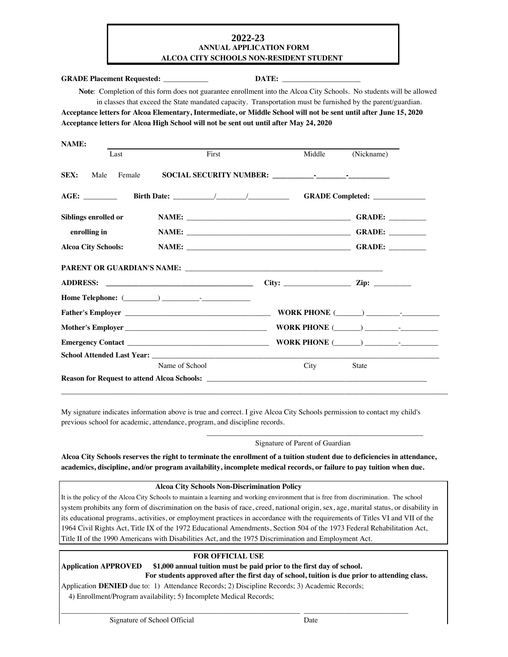## **2020-2021 2022-23ANNUAL APPLICATION FORM ALCOA CITY SCHOOLS NON-RESIDENT STUDENT**

#### **GRADE Placement Requested: DATE:**

 **Note**: Completion of this form does not guarantee enrollment into the Alcoa City Schools. No students will be allowed in classes that exceed the State mandated capacity. Transportation must be furnished by the parent/guardian.

| Acceptance letters for Alcoa Elementary, Intermediate, or Middle School will not be sent until after June 15, 2020 |  |
|--------------------------------------------------------------------------------------------------------------------|--|
| Acceptance letters for Alcoa High School will not be sent out until after May 24, 2020                             |  |

| <b>NAME:</b>               |                |                                                                            |                                 |        |
|----------------------------|----------------|----------------------------------------------------------------------------|---------------------------------|--------|
| Last                       | First          | Middle                                                                     | (Nickname)                      |        |
| SEX:<br>Female<br>Male     |                |                                                                            |                                 |        |
|                            |                |                                                                            | GRADE Completed: ______________ |        |
| Siblings enrolled or       |                |                                                                            |                                 | GRADE: |
| enrolling in               |                |                                                                            |                                 | GRADE: |
| <b>Alcoa City Schools:</b> |                |                                                                            |                                 | GRADE: |
|                            |                |                                                                            |                                 |        |
| <b>ADDRESS:</b>            |                | City: $\qquad \qquad \qquad \text{Zip:} \qquad \qquad$                     |                                 |        |
|                            |                |                                                                            |                                 |        |
|                            |                |                                                                            | WORK PHONE $(\_\_)$             |        |
|                            |                |                                                                            | WORK PHONE $(\_\_)$             |        |
|                            |                |                                                                            |                                 |        |
|                            |                |                                                                            |                                 |        |
|                            | Name of School | City                                                                       | <b>State</b>                    |        |
|                            |                | <b>Reason for Request to attend Alcoa Schools:</b> New York 1997 and 2008. |                                 |        |

My signature indicates information above is true and correct. I give Alcoa City Schools permission to contact my child's previous school for academic, attendance, program, and discipline records.

\_\_\_\_\_\_\_\_\_\_\_\_\_\_\_\_\_\_\_\_\_\_\_\_\_\_\_\_\_\_\_\_\_\_\_\_\_\_\_\_\_\_\_\_\_\_\_\_\_\_\_\_\_\_\_\_\_\_\_\_\_\_\_\_\_\_\_\_\_\_\_\_\_\_\_\_\_\_\_\_\_\_\_\_\_\_\_\_\_\_\_\_\_\_\_\_\_\_\_\_\_\_\_\_

Signature of Parent of Guardian

\_\_\_\_\_\_\_\_\_\_\_\_\_\_\_\_\_\_\_\_\_\_\_\_\_\_\_\_\_\_\_\_\_\_\_\_\_\_\_\_\_\_\_\_\_\_\_\_\_\_\_\_\_\_\_\_\_\_

**Alcoa City Schools reserves the right to terminate the enrollment of a tuition student due to deficiencies in attendance, academics, discipline, and/or program availability, incomplete medical records, or failure to pay tuition when due.**

#### **Alcoa City Schools Non-Discrimination Policy**

It is the policy of the Alcoa City Schools to maintain a learning and working environment that is free from discrimination. The school system prohibits any form of discrimination on the basis of race, creed, national origin, sex, age, marital status, or disability in its educational programs, activities, or employment practices in accordance with the requirements of Titles VI and VII of the 1964 Civil Rights Act, Title IX of the 1972 Educational Amendments, Section 504 of the 1973 Federal Rehabilitation Act, Title II of the 1990 Americans with Disabilities Act, and the 1975 Discrimination and Employment Act.

### **FOR OFFICIAL USE**

**Application APPROVED \$1,000 annual tuition must be paid prior to the first day of school. For students approved after the first day of school, tuition is due prior to attending class.** 

\_\_\_\_\_\_\_\_\_\_\_\_\_\_\_\_\_\_\_\_\_\_\_\_\_\_\_\_\_\_\_\_\_\_\_\_\_\_\_\_\_\_\_\_\_\_\_\_\_\_\_\_\_\_\_\_\_\_\_\_\_\_\_\_ \_\_\_\_\_\_\_\_\_\_\_\_\_\_\_\_\_\_\_\_\_\_\_\_\_\_\_\_

Application **DENIED** due to: 1) Attendance Records; 2) Discipline Records; 3) Academic Records;

4) Enrollment/Program availability; 5) Incomplete Medical Records;